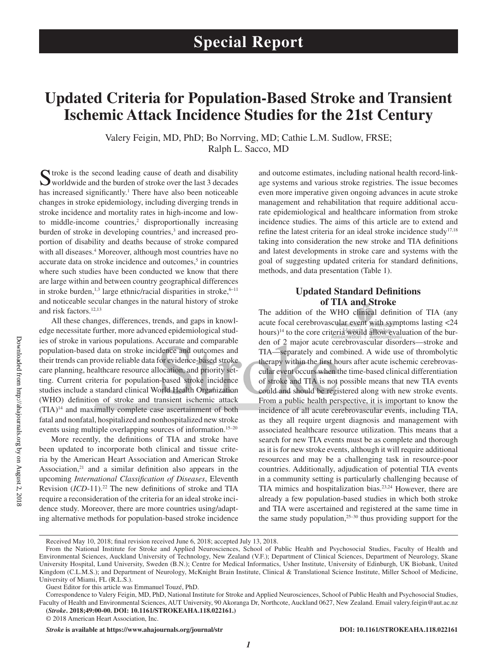## **Updated Criteria for Population-Based Stroke and Transient Ischemic Attack Incidence Studies for the 21st Century**

Valery Feigin, MD, PhD; Bo Norrving, MD; Cathie L.M. Sudlow, FRSE; Ralph L. Sacco, MD

Stroke is the second leading cause of death and disability worldwide and the burden of stroke over the last 3 decades has increased significantly.<sup>1</sup> There have also been noticeable changes in stroke epidemiology, including diverging trends in stroke incidence and mortality rates in high-income and lowto middle-income countries, $2$  disproportionally increasing burden of stroke in developing countries,<sup>3</sup> and increased proportion of disability and deaths because of stroke compared with all diseases.<sup>4</sup> Moreover, although most countries have no accurate data on stroke incidence and outcomes,<sup>5</sup> in countries where such studies have been conducted we know that there are large within and between country geographical differences in stroke burden,<sup>1,3</sup> large ethnic/racial disparities in stroke, $6-11$ and noticeable secular changes in the natural history of stroke and risk factors.12,13

All these changes, differences, trends, and gaps in knowledge necessitate further, more advanced epidemiological studies of stroke in various populations. Accurate and comparable population-based data on stroke incidence and outcomes and their trends can provide reliable data for evidence-based stroke care planning, healthcare resource allocation, and priority setting. Current criteria for population-based stroke incidence studies include a standard clinical World Health Organization (WHO) definition of stroke and transient ischemic attack (TIA)14 and maximally complete case ascertainment of both fatal and nonfatal, hospitalized and nonhospitalized new stroke events using multiple overlapping sources of information.<sup>15-20</sup>

More recently, the definitions of TIA and stroke have been updated to incorporate both clinical and tissue criteria by the American Heart Association and American Stroke Association, $21$  and a similar definition also appears in the upcoming *International Classification of Diseases*, Eleventh Revision (*ICD*-11).<sup>22</sup> The new definitions of stroke and TIA require a reconsideration of the criteria for an ideal stroke incidence study. Moreover, there are more countries using/adapting alternative methods for population-based stroke incidence and outcome estimates, including national health record-linkage systems and various stroke registries. The issue becomes even more imperative given ongoing advances in acute stroke management and rehabilitation that require additional accurate epidemiological and healthcare information from stroke incidence studies. The aims of this article are to extend and refine the latest criteria for an ideal stroke incidence study<sup>17,18</sup> taking into consideration the new stroke and TIA definitions and latest developments in stroke care and systems with the goal of suggesting updated criteria for standard definitions, methods, and data presentation (Table 1).

## **Updated Standard Definitions of TIA and Stroke**

The addition of the WHO clinical definition of TIA (any acute focal cerebrovascular event with symptoms lasting <24 hours)<sup>14</sup> to the core criteria would allow evaluation of the burden of 2 major acute cerebrovascular disorders—stroke and TIA—separately and combined. A wide use of thrombolytic therapy within the first hours after acute ischemic cerebrovascular event occurs when the time-based clinical differentiation of stroke and TIA is not possible means that new TIA events could and should be registered along with new stroke events. From a public health perspective, it is important to know the incidence of all acute cerebrovascular events, including TIA, as they all require urgent diagnosis and management with associated healthcare resource utilization. This means that a search for new TIA events must be as complete and thorough as it is for new stroke events, although it will require additional resources and may be a challenging task in resource-poor countries. Additionally, adjudication of potential TIA events in a community setting is particularly challenging because of TIA mimics and hospitalization bias.23,24 However, there are already a few population-based studies in which both stroke and TIA were ascertained and registered at the same time in the same study population, $25-30$  thus providing support for the

*Stroke* **is available at https://www.ahajournals.org/journal/str DOI: 10.1161/STROKEAHA.118.022161**

Received May 10, 2018; final revision received June 6, 2018; accepted July 13, 2018.

From the National Institute for Stroke and Applied Neurosciences, School of Public Health and Psychosocial Studies, Faculty of Health and Environmental Sciences, Auckland University of Technology, New Zealand (V.F.); Department of Clinical Sciences, Department of Neurology, Skane University Hospital, Lund University, Sweden (B.N.); Centre for Medical Informatics, Usher Institute, University of Edinburgh, UK Biobank, United Kingdom (C.L.M.S.); and Department of Neurology, McKnight Brain Institute, Clinical & Translational Science Institute, Miller School of Medicine, University of Miami, FL (R.L.S.).

Guest Editor for this article was Emmanuel Touzé, PhD.

Correspondence to Valery Feigin, MD, PhD, National Institute for Stroke and Applied Neurosciences, School of Public Health and Psychosocial Studies, Faculty of Health and Environmental Sciences, AUT University, 90 Akoranga Dr, Northcote, Auckland 0627, New Zealand. Email [valery.feigin@aut.ac.nz](mailto:valery.feigin@aut.ac.nz) **(***Stroke***. 2018;49:00-00. DOI: 10.1161/STROKEAHA.118.022161.)**

<sup>© 2018</sup> American Heart Association, Inc.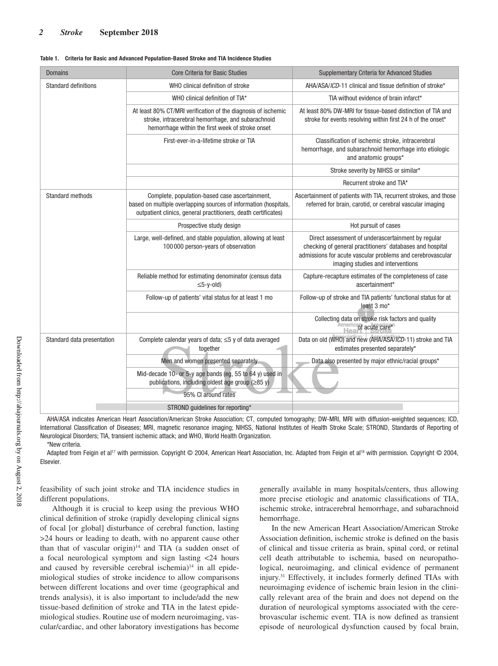| <b>Domains</b>              | <b>Core Criteria for Basic Studies</b>                                                                                                                                               | <b>Supplementary Criteria for Advanced Studies</b>                                                                                                                                                                 |  |
|-----------------------------|--------------------------------------------------------------------------------------------------------------------------------------------------------------------------------------|--------------------------------------------------------------------------------------------------------------------------------------------------------------------------------------------------------------------|--|
| <b>Standard definitions</b> | WHO clinical definition of stroke                                                                                                                                                    | AHA/ASA/ICD-11 clinical and tissue definition of stroke*                                                                                                                                                           |  |
|                             | WHO clinical definition of TIA*                                                                                                                                                      | TIA without evidence of brain infarct*                                                                                                                                                                             |  |
|                             | At least 80% CT/MRI verification of the diagnosis of ischemic<br>stroke, intracerebral hemorrhage, and subarachnoid<br>hemorrhage within the first week of stroke onset              | At least 80% DW-MRI for tissue-based distinction of TIA and<br>stroke for events resolving within first 24 h of the onset*                                                                                         |  |
|                             | First-ever-in-a-lifetime stroke or TIA                                                                                                                                               | Classification of ischemic stroke, intracerebral<br>hemorrhage, and subarachnoid hemorrhage into etiologic<br>and anatomic groups*                                                                                 |  |
|                             |                                                                                                                                                                                      | Stroke severity by NIHSS or similar*                                                                                                                                                                               |  |
|                             |                                                                                                                                                                                      | Recurrent stroke and TIA*                                                                                                                                                                                          |  |
| <b>Standard methods</b>     | Complete, population-based case ascertainment,<br>based on multiple overlapping sources of information (hospitals,<br>outpatient clinics, general practitioners, death certificates) | Ascertainment of patients with TIA, recurrent strokes, and those<br>referred for brain, carotid, or cerebral vascular imaging                                                                                      |  |
|                             | Prospective study design                                                                                                                                                             | Hot pursuit of cases                                                                                                                                                                                               |  |
|                             | Large, well-defined, and stable population, allowing at least<br>100 000 person-years of observation                                                                                 | Direct assessment of underascertainment by regular<br>checking of general practitioners' databases and hospital<br>admissions for acute vascular problems and cerebrovascular<br>imaging studies and interventions |  |
|                             | Reliable method for estimating denominator (census data<br>$\leq$ 5-y-old)                                                                                                           | Capture-recapture estimates of the completeness of case<br>ascertainment*                                                                                                                                          |  |
|                             | Follow-up of patients' vital status for at least 1 mo                                                                                                                                | Follow-up of stroke and TIA patients' functional status for at<br>least 3 mo*                                                                                                                                      |  |
|                             |                                                                                                                                                                                      | Collecting data on stroke risk factors and quality<br><b>Health</b> acute care*                                                                                                                                    |  |
| Standard data presentation  | Complete calendar years of data; $\leq$ 5 y of data averaged<br>together                                                                                                             | Data on old (WHO) and new (AHA/ASA/ICD-11) stroke and TIA<br>estimates presented separately*                                                                                                                       |  |
|                             | Men and women presented separately                                                                                                                                                   | Data also presented by major ethnic/racial groups*                                                                                                                                                                 |  |
|                             | Mid-decade 10- or 5-y age bands (eg, 55 to 64 y) used in<br>publications, including oldest age group (≥85 y)                                                                         |                                                                                                                                                                                                                    |  |
|                             | 95% CI around rates                                                                                                                                                                  |                                                                                                                                                                                                                    |  |
|                             | STROND guidelines for reporting*                                                                                                                                                     |                                                                                                                                                                                                                    |  |

AHA/ASA indicates American Heart Association/American Stroke Association; CT, computed tomography; DW-MRI, MRI with diffusion-weighted sequences; ICD, International Classification of Diseases; MRI, magnetic resonance imaging; NIHSS, National Institutes of Health Stroke Scale; STROND, Standards of Reporting of Neurological Disorders; TIA, transient ischemic attack; and WHO, World Health Organization. \*New criteria.

Adapted from Feigin et al<sup>17</sup> with permission. Copyright © 2004, American Heart Association, Inc. Adapted from Feigin et al<sup>18</sup> with permission. Copyright © 2004, Elsevier.

feasibility of such joint stroke and TIA incidence studies in different populations.

Although it is crucial to keep using the previous WHO clinical definition of stroke (rapidly developing clinical signs of focal [or global] disturbance of cerebral function, lasting >24 hours or leading to death, with no apparent cause other than that of vascular origin) $14$  and TIA (a sudden onset of a focal neurological symptom and sign lasting <24 hours and caused by reversible cerebral ischemia)<sup>14</sup> in all epidemiological studies of stroke incidence to allow comparisons between different locations and over time (geographical and trends analysis), it is also important to include/add the new tissue-based definition of stroke and TIA in the latest epidemiological studies. Routine use of modern neuroimaging, vascular/cardiac, and other laboratory investigations has become

generally available in many hospitals/centers, thus allowing more precise etiologic and anatomic classifications of TIA, ischemic stroke, intracerebral hemorrhage, and subarachnoid hemorrhage.

In the new American Heart Association/American Stroke Association definition, ischemic stroke is defined on the basis of clinical and tissue criteria as brain, spinal cord, or retinal cell death attributable to ischemia, based on neuropathological, neuroimaging, and clinical evidence of permanent injury.31 Effectively, it includes formerly defined TIAs with neuroimaging evidence of ischemic brain lesion in the clinically relevant area of the brain and does not depend on the duration of neurological symptoms associated with the cerebrovascular ischemic event. TIA is now defined as transient episode of neurological dysfunction caused by focal brain,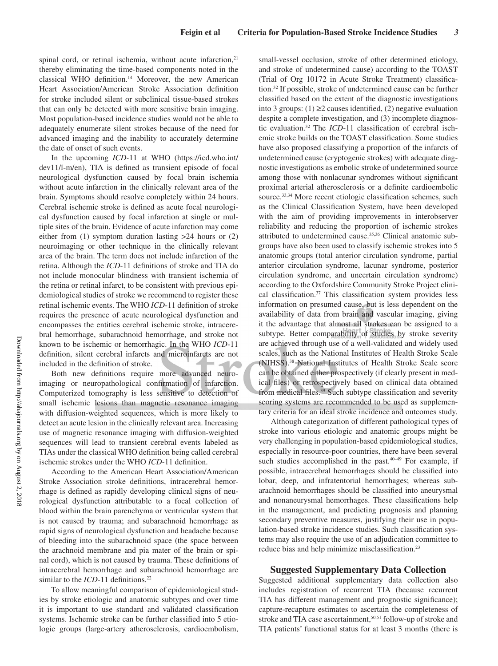spinal cord, or retinal ischemia, without acute infarction,<sup>21</sup> thereby eliminating the time-based components noted in the classical WHO definition.14 Moreover, the new American Heart Association/American Stroke Association definition for stroke included silent or subclinical tissue-based strokes that can only be detected with more sensitive brain imaging. Most population-based incidence studies would not be able to adequately enumerate silent strokes because of the need for advanced imaging and the inability to accurately determine the date of onset of such events.

In the upcoming *ICD-*11 at WHO (https://icd.who.int/ dev11/l-m/en), TIA is defined as transient episode of focal neurological dysfunction caused by focal brain ischemia without acute infarction in the clinically relevant area of the brain. Symptoms should resolve completely within 24 hours. Cerebral ischemic stroke is defined as acute focal neurological dysfunction caused by focal infarction at single or multiple sites of the brain. Evidence of acute infarction may come either from (1) symptom duration lasting >24 hours or (2) neuroimaging or other technique in the clinically relevant area of the brain. The term does not include infarction of the retina. Although the *ICD*-11 definitions of stroke and TIA do not include monocular blindness with transient ischemia of the retina or retinal infarct, to be consistent with previous epidemiological studies of stroke we recommend to register these retinal ischemic events. The WHO *ICD*-11 definition of stroke requires the presence of acute neurological dysfunction and encompasses the entities cerebral ischemic stroke, intracerebral hemorrhage, subarachnoid hemorrhage, and stroke not known to be ischemic or hemorrhagic. In the WHO *ICD*-11 definition, silent cerebral infarcts and microinfarcts are not included in the definition of stroke.

Both new definitions require more advanced neuroimaging or neuropathological confirmation of infarction. Computerized tomography is less sensitive to detection of small ischemic lesions than magnetic resonance imaging with diffusion-weighted sequences, which is more likely to detect an acute lesion in the clinically relevant area. Increasing use of magnetic resonance imaging with diffusion-weighted sequences will lead to transient cerebral events labeled as TIAs under the classical WHO definition being called cerebral ischemic strokes under the WHO *ICD*-11 definition.

According to the American Heart Association/American Stroke Association stroke definitions, intracerebral hemorrhage is defined as rapidly developing clinical signs of neurological dysfunction attributable to a focal collection of blood within the brain parenchyma or ventricular system that is not caused by trauma; and subarachnoid hemorrhage as rapid signs of neurological dysfunction and headache because of bleeding into the subarachnoid space (the space between the arachnoid membrane and pia mater of the brain or spinal cord), which is not caused by trauma. These definitions of intracerebral hemorrhage and subarachnoid hemorrhage are similar to the *ICD*-11 definitions.<sup>22</sup>

To allow meaningful comparison of epidemiological studies by stroke etiologic and anatomic subtypes and over time it is important to use standard and validated classification systems. Ischemic stroke can be further classified into 5 etiologic groups (large-artery atherosclerosis, cardioembolism, small-vessel occlusion, stroke of other determined etiology, and stroke of undetermined cause) according to the TOAST (Trial of Org 10172 in Acute Stroke Treatment) classification.32 If possible, stroke of undetermined cause can be further classified based on the extent of the diagnostic investigations into 3 groups:  $(1) \ge 2$  causes identified,  $(2)$  negative evaluation despite a complete investigation, and (3) incomplete diagnostic evaluation.32 The *ICD*-11 classification of cerebral ischemic stroke builds on the TOAST classification. Some studies have also proposed classifying a proportion of the infarcts of undetermined cause (cryptogenic strokes) with adequate diagnostic investigations as embolic stroke of undetermined source among those with nonlacunar syndromes without significant proximal arterial atherosclerosis or a definite cardioembolic source.<sup>33,34</sup> More recent etiologic classification schemes, such as the Clinical Classification System, have been developed with the aim of providing improvements in interobserver reliability and reducing the proportion of ischemic strokes attributed to undetermined cause.<sup>35,36</sup> Clinical anatomic subgroups have also been used to classify ischemic strokes into 5 anatomic groups (total anterior circulation syndrome, partial anterior circulation syndrome, lacunar syndrome, posterior circulation syndrome, and uncertain circulation syndrome) according to the Oxfordshire Community Stroke Project clinical classification.<sup>37</sup> This classification system provides less information on presumed cause, but is less dependent on the availability of data from brain and vascular imaging, giving it the advantage that almost all strokes can be assigned to a subtype. Better comparability of studies by stroke severity are achieved through use of a well-validated and widely used scales, such as the National Institutes of Health Stroke Scale (NIHSS).38 National Institutes of Health Stroke Scale score can be obtained either prospectively (if clearly present in medical files) or retrospectively based on clinical data obtained from medical files.<sup>39</sup> Such subtype classification and severity scoring systems are recommended to be used as supplementary criteria for an ideal stroke incidence and outcomes study.

Although categorization of different pathological types of stroke into various etiologic and anatomic groups might be very challenging in population-based epidemiological studies, especially in resource-poor countries, there have been several such studies accomplished in the past.<sup>40-49</sup> For example, if possible, intracerebral hemorrhages should be classified into lobar, deep, and infratentorial hemorrhages; whereas subarachnoid hemorrhages should be classified into aneurysmal and nonaneurysmal hemorrhages. These classifications help in the management, and predicting prognosis and planning secondary preventive measures, justifying their use in population-based stroke incidence studies. Such classification systems may also require the use of an adjudication committee to reduce bias and help minimize misclassification.23

#### **Suggested Supplementary Data Collection**

Suggested additional supplementary data collection also includes registration of recurrent TIA (because recurrent TIA has different management and prognostic significance); capture-recapture estimates to ascertain the completeness of stroke and TIA case ascertainment,<sup>50,51</sup> follow-up of stroke and TIA patients' functional status for at least 3 months (there is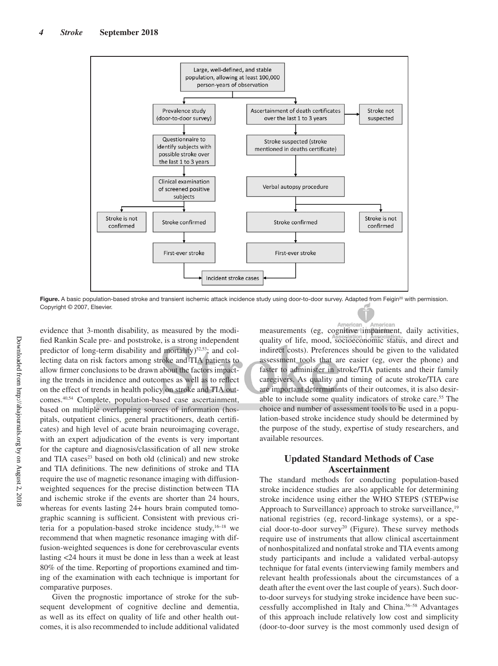

Figure. A basic population-based stroke and transient ischemic attack incidence study using door-to-door survey. Adapted from Feigin<sup>20</sup> with permission. Copyright © 2007, Elsevier.

evidence that 3-month disability, as measured by the modified Rankin Scale pre- and poststroke, is a strong independent predictor of long-term disability and mortality)<sup>52,53</sup>; and collecting data on risk factors among stroke and TIA patients to allow firmer conclusions to be drawn about the factors impacting the trends in incidence and outcomes as well as to reflect on the effect of trends in health policy on stroke and TIA outcomes.40,54 Complete, population-based case ascertainment, based on multiple overlapping sources of information (hospitals, outpatient clinics, general practitioners, death certificates) and high level of acute brain neuroimaging coverage, with an expert adjudication of the events is very important for the capture and diagnosis/classification of all new stroke and TIA cases $23$  based on both old (clinical) and new stroke and TIA definitions. The new definitions of stroke and TIA require the use of magnetic resonance imaging with diffusionweighted sequences for the precise distinction between TIA and ischemic stroke if the events are shorter than 24 hours, whereas for events lasting 24+ hours brain computed tomographic scanning is sufficient. Consistent with previous criteria for a population-based stroke incidence study,  $16-18$  we recommend that when magnetic resonance imaging with diffusion-weighted sequences is done for cerebrovascular events lasting <24 hours it must be done in less than a week at least 80% of the time. Reporting of proportions examined and timing of the examination with each technique is important for comparative purposes.

Given the prognostic importance of stroke for the subsequent development of cognitive decline and dementia, as well as its effect on quality of life and other health outcomes, it is also recommended to include additional validated

American American<br>measurements (eg, cognitive timpairment, daily activities, Americar quality of life, mood, socioeconomic status, and direct and indirect costs). Preferences should be given to the validated assessment tools that are easier (eg, over the phone) and faster to administer in stroke/TIA patients and their family caregivers. As quality and timing of acute stroke/TIA care are important determinants of their outcomes, it is also desirable to include some quality indicators of stroke care.<sup>55</sup> The choice and number of assessment tools to be used in a population-based stroke incidence study should be determined by the purpose of the study, expertise of study researchers, and available resources.

### **Updated Standard Methods of Case Ascertainment**

The standard methods for conducting population-based stroke incidence studies are also applicable for determining stroke incidence using either the WHO STEPS (STEPwise Approach to Surveillance) approach to stroke surveillance,<sup>19</sup> national registries (eg, record-linkage systems), or a special door-to-door survey<sup>20</sup> (Figure). These survey methods require use of instruments that allow clinical ascertainment of nonhospitalized and nonfatal stroke and TIA events among study participants and include a validated verbal-autopsy technique for fatal events (interviewing family members and relevant health professionals about the circumstances of a death after the event over the last couple of years). Such doorto-door surveys for studying stroke incidence have been successfully accomplished in Italy and China.56–58 Advantages of this approach include relatively low cost and simplicity (door-to-door survey is the most commonly used design of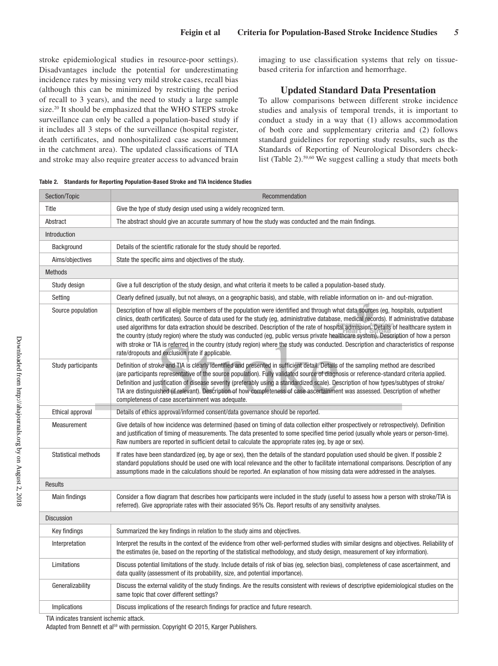stroke epidemiological studies in resource-poor settings). Disadvantages include the potential for underestimating incidence rates by missing very mild stroke cases, recall bias (although this can be minimized by restricting the period of recall to 3 years), and the need to study a large sample size.20 It should be emphasized that the WHO STEPS stroke surveillance can only be called a population-based study if it includes all 3 steps of the surveillance (hospital register, death certificates, and nonhospitalized case ascertainment in the catchment area). The updated classifications of TIA and stroke may also require greater access to advanced brain imaging to use classification systems that rely on tissuebased criteria for infarction and hemorrhage.

### **Updated Standard Data Presentation**

To allow comparisons between different stroke incidence studies and analysis of temporal trends, it is important to conduct a study in a way that (1) allows accommodation of both core and supplementary criteria and (2) follows standard guidelines for reporting study results, such as the Standards of Reporting of Neurological Disorders checklist (Table 2).<sup>59,60</sup> We suggest calling a study that meets both

| Section/Topic              | Recommendation                                                                                                                                                                                                                                                                                                                                                                                                                                                                                                                                                                                                                                                                                                                                                   |  |  |  |  |
|----------------------------|------------------------------------------------------------------------------------------------------------------------------------------------------------------------------------------------------------------------------------------------------------------------------------------------------------------------------------------------------------------------------------------------------------------------------------------------------------------------------------------------------------------------------------------------------------------------------------------------------------------------------------------------------------------------------------------------------------------------------------------------------------------|--|--|--|--|
| Title                      | Give the type of study design used using a widely recognized term.                                                                                                                                                                                                                                                                                                                                                                                                                                                                                                                                                                                                                                                                                               |  |  |  |  |
| Abstract                   | The abstract should give an accurate summary of how the study was conducted and the main findings.                                                                                                                                                                                                                                                                                                                                                                                                                                                                                                                                                                                                                                                               |  |  |  |  |
| Introduction               |                                                                                                                                                                                                                                                                                                                                                                                                                                                                                                                                                                                                                                                                                                                                                                  |  |  |  |  |
| Background                 | Details of the scientific rationale for the study should be reported.                                                                                                                                                                                                                                                                                                                                                                                                                                                                                                                                                                                                                                                                                            |  |  |  |  |
| Aims/objectives            | State the specific aims and objectives of the study.                                                                                                                                                                                                                                                                                                                                                                                                                                                                                                                                                                                                                                                                                                             |  |  |  |  |
| <b>Methods</b>             |                                                                                                                                                                                                                                                                                                                                                                                                                                                                                                                                                                                                                                                                                                                                                                  |  |  |  |  |
| Study design               | Give a full description of the study design, and what criteria it meets to be called a population-based study.                                                                                                                                                                                                                                                                                                                                                                                                                                                                                                                                                                                                                                                   |  |  |  |  |
| Setting                    | Clearly defined (usually, but not always, on a geographic basis), and stable, with reliable information on in- and out-migration.                                                                                                                                                                                                                                                                                                                                                                                                                                                                                                                                                                                                                                |  |  |  |  |
| Source population          | Description of how all eligible members of the population were identified and through what data sources (eg, hospitals, outpatient<br>clinics, death certificates). Source of data used for the study (eg, administrative database, medical records). If administrative database<br>used algorithms for data extraction should be described. Description of the rate of hospital admission. Details of healthcare system in<br>the country (study region) where the study was conducted (eq. public versus private healthcare system). Description of how a person<br>with stroke or TIA is referred in the country (study region) where the study was conducted. Description and characteristics of response<br>rate/dropouts and exclusion rate if applicable. |  |  |  |  |
| Study participants         | Definition of stroke and TIA is clearly identified and presented in sufficient detail. Details of the sampling method are described<br>(are participants representative of the source population). Fully validated source of diagnosis or reference-standard criteria applied.<br>Definition and justification of disease severity (preferably using a standardized scale). Description of how types/subtypes of stroke/<br>TIA are distinguished (if relevant). Description of how completeness of case ascertainment was assessed. Description of whether<br>completeness of case ascertainment was adequate.                                                                                                                                                  |  |  |  |  |
| Ethical approval           | Details of ethics approval/informed consent/data governance should be reported.                                                                                                                                                                                                                                                                                                                                                                                                                                                                                                                                                                                                                                                                                  |  |  |  |  |
| Measurement                | Give details of how incidence was determined (based on timing of data collection either prospectively or retrospectively). Definition<br>and justification of timing of measurements. The data presented to some specified time period (usually whole years or person-time).<br>Raw numbers are reported in sufficient detail to calculate the appropriate rates (eq, by age or sex).                                                                                                                                                                                                                                                                                                                                                                            |  |  |  |  |
| <b>Statistical methods</b> | If rates have been standardized (eg, by age or sex), then the details of the standard population used should be given. If possible 2<br>standard populations should be used one with local relevance and the other to facilitate international comparisons. Description of any<br>assumptions made in the calculations should be reported. An explanation of how missing data were addressed in the analyses.                                                                                                                                                                                                                                                                                                                                                    |  |  |  |  |
| <b>Results</b>             |                                                                                                                                                                                                                                                                                                                                                                                                                                                                                                                                                                                                                                                                                                                                                                  |  |  |  |  |
| Main findings              | Consider a flow diagram that describes how participants were included in the study (useful to assess how a person with stroke/TIA is<br>referred). Give appropriate rates with their associated 95% CIs. Report results of any sensitivity analyses.                                                                                                                                                                                                                                                                                                                                                                                                                                                                                                             |  |  |  |  |
| <b>Discussion</b>          |                                                                                                                                                                                                                                                                                                                                                                                                                                                                                                                                                                                                                                                                                                                                                                  |  |  |  |  |
| Key findings               | Summarized the key findings in relation to the study aims and objectives.                                                                                                                                                                                                                                                                                                                                                                                                                                                                                                                                                                                                                                                                                        |  |  |  |  |
| Interpretation             | Interpret the results in the context of the evidence from other well-performed studies with similar designs and objectives. Reliability of<br>the estimates (ie, based on the reporting of the statistical methodology, and study design, measurement of key information).                                                                                                                                                                                                                                                                                                                                                                                                                                                                                       |  |  |  |  |
| Limitations                | Discuss potential limitations of the study. Include details of risk of bias (eg, selection bias), completeness of case ascertainment, and<br>data quality (assessment of its probability, size, and potential importance).                                                                                                                                                                                                                                                                                                                                                                                                                                                                                                                                       |  |  |  |  |
| Generalizability           | Discuss the external validity of the study findings. Are the results consistent with reviews of descriptive epidemiological studies on the<br>same topic that cover different settings?                                                                                                                                                                                                                                                                                                                                                                                                                                                                                                                                                                          |  |  |  |  |
| Implications               | Discuss implications of the research findings for practice and future research.                                                                                                                                                                                                                                                                                                                                                                                                                                                                                                                                                                                                                                                                                  |  |  |  |  |

| Table 2. Standards for Reporting Population-Based Stroke and TIA Incidence Studies |  |  |
|------------------------------------------------------------------------------------|--|--|
|                                                                                    |  |  |

TIA indicates transient ischemic attack.

Adapted from Bennett et al<sup>59</sup> with permission. Copyright © 2015, Karger Publishers.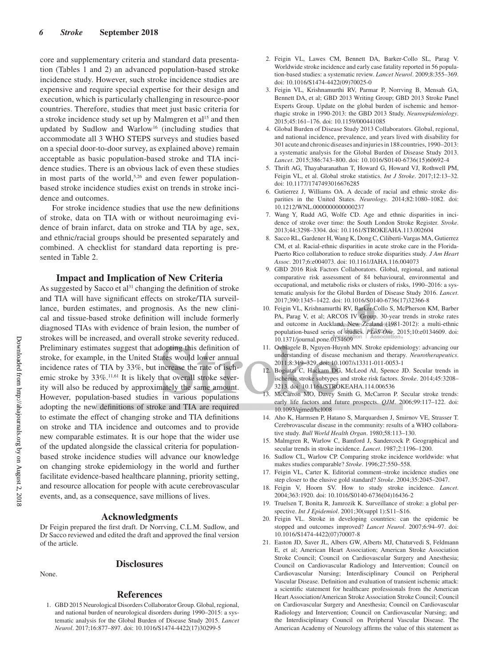core and supplementary criteria and standard data presentation (Tables 1 and 2) an advanced population-based stroke incidence study. However, such stroke incidence studies are expensive and require special expertise for their design and execution, which is particularly challenging in resource-poor countries. Therefore, studies that meet just basic criteria for a stroke incidence study set up by Malmgren et al<sup>15</sup> and then updated by Sudlow and Warlow<sup>16</sup> (including studies that accommodate all 3 WHO STEPS surveys and studies based on a special door-to-door survey, as explained above) remain acceptable as basic population-based stroke and TIA incidence studies. There is an obvious lack of even these studies in most parts of the world,<sup>5,26</sup> and even fewer populationbased stroke incidence studies exist on trends in stroke incidence and outcomes.

For stroke incidence studies that use the new definitions of stroke, data on TIA with or without neuroimaging evidence of brain infarct, data on stroke and TIA by age, sex, and ethnic/racial groups should be presented separately and combined. A checklist for standard data reporting is presented in Table 2.

#### **Impact and Implication of New Criteria**

As suggested by Sacco et al<sup>31</sup> changing the definition of stroke and TIA will have significant effects on stroke/TIA surveillance, burden estimates, and prognosis. As the new clinical and tissue-based stroke definition will include formerly diagnosed TIAs with evidence of brain lesion, the number of strokes will be increased, and overall stroke severity reduced. Preliminary estimates suggest that adopting this definition of stroke, for example, in the United States would lower annual incidence rates of TIA by 33%, but increase the rate of ischemic stroke by  $33\%$ .<sup>11,61</sup> It is likely that overall stroke severity will also be reduced by approximately the same amount. However, population-based studies in various populations adopting the new definitions of stroke and TIA are required to estimate the effect of changing stroke and TIA definitions on stroke and TIA incidence and outcomes and to provide new comparable estimates. It is our hope that the wider use of the updated alongside the classical criteria for populationbased stroke incidence studies will advance our knowledge on changing stroke epidemiology in the world and further facilitate evidence-based healthcare planning, priority setting, and resource allocation for people with acute cerebrovascular events, and, as a consequence, save millions of lives.

#### **Acknowledgments**

Dr Feigin prepared the first draft. Dr Norrving, C.L.M. Sudlow, and Dr Sacco reviewed and edited the draft and approved the final version of the article.

#### None.

# **Disclosures**

#### **References**

1. GBD 2015 Neurological Disorders Collaborator Group. Global, regional, and national burden of neurological disorders during 1990–2015: a systematic analysis for the Global Burden of Disease Study 2015. *Lancet Neurol*. 2017;16:877–897. doi: 10.1016/S1474-4422(17)30299-5

- 2. Feigin VL, Lawes CM, Bennett DA, Barker-Collo SL, Parag V. Worldwide stroke incidence and early case fatality reported in 56 population-based studies: a systematic review. *Lancet Neurol*. 2009;8:355–369. doi: 10.1016/S1474-4422(09)70025-0
- 3. Feigin VL, Krishnamurthi RV, Parmar P, Norrving B, Mensah GA, Bennett DA, et al; GBD 2013 Writing Group; GBD 2013 Stroke Panel Experts Group. Update on the global burden of ischemic and hemorrhagic stroke in 1990-2013: the GBD 2013 Study. *Neuroepidemiology*. 2015;45:161–176. doi: 10.1159/000441085
- 4. Global Burden of Disease Study 2013 Collaborators. Global, regional, and national incidence, prevalence, and years lived with disability for 301 acute and chronic diseases and injuries in 188 countries, 1990–2013: a systematic analysis for the Global Burden of Disease Study 2013. *Lancet*. 2015;386:743–800. doi: 10.1016/S0140-6736(15)60692-4
- 5. Thrift AG, Thayabaranathan T, Howard G, Howard VJ, Rothwell PM, Feigin VL, et al. Global stroke statistics. *Int J Stroke*. 2017;12:13–32. doi: 10.1177/1747493016676285
- 6. Gutierrez J, Williams OA. A decade of racial and ethnic stroke disparities in the United States. *Neurology*. 2014;82:1080–1082. doi: 10.1212/WNL.0000000000000237
- 7. Wang Y, Rudd AG, Wolfe CD. Age and ethnic disparities in incidence of stroke over time: the South London Stroke Register. *Stroke*. 2013;44:3298–3304. doi: 10.1161/STROKEAHA.113.002604
- 8. Sacco RL, Gardener H, Wang K, Dong C, Ciliberti-Vargas MA, Gutierrez CM, et al. Racial-ethnic disparities in acute stroke care in the Florida-Puerto Rico collaboration to reduce stroke disparities study. *J Am Heart Assoc*. 2017;6:e004073. doi: 10.1161/JAHA.116.004073
- 9. GBD 2016 Risk Factors Collaborators. Global, regional, and national comparative risk assessment of 84 behavioural, environmental and occupational, and metabolic risks or clusters of risks, 1990–2016: a systematic analysis for the Global Burden of Disease Study 2016. *Lancet*. 2017;390:1345–1422. doi: 10.1016/S0140-6736(17)32366-8
- 10. Feigin VL, Krishnamurthi RV, Barker-Collo S, McPherson KM, Barber PA, Parag V, et al; ARCOS IV Group. 30-year trends in stroke rates and outcome in Auckland, New Zealand (1981-2012): a multi-ethnic population-based series of studies. *PLoS One*. 2015;10:e0134609. doi: 10.1371/journal.pone.0134609
- 11. Ovbiagele B, Nguyen-Huynh MN. Stroke epidemiology: advancing our understanding of disease mechanism and therapy. *Neurotherapeutics*. 2011;8:319–329. doi: 10.1007/s13311-011-0053-1
- 12. Bogiatzi C, Hackam DG, McLeod AI, Spence JD. Secular trends in ischemic stroke subtypes and stroke risk factors. *Stroke*. 2014;45:3208– 3213. doi: 10.1161/STROKEAHA.114.006536
- McCarron MO, Davey Smith G, McCarron P. Secular stroke trends: early life factors and future prospects. *QJM*. 2006;99:117–122. doi: 10.1093/qjmed/hcl008
- 14. Aho K, Harmsen P, Hatano S, Marquardsen J, Smirnov VE, Strasser T. Cerebrovascular disease in the community: results of a WHO collaborative study. *Bull World Health Organ*. 1980;58:113–130.
- 15. Malmgren R, Warlow C, Bamford J, Sandercock P. Geographical and secular trends in stroke incidence. *Lancet*. 1987;2:1196–1200.
- 16. Sudlow CL, Warlow CP. Comparing stroke incidence worldwide: what makes studies comparable? *Stroke*. 1996;27:550–558.
- 17. Feigin VL, Carter K. Editorial comment–stroke incidence studies one step closer to the elusive gold standard? *Stroke*. 2004;35:2045–2047.
- 18. Feigin V, Hoorn SV. How to study stroke incidence. *Lancet*. 2004;363:1920. doi: 10.1016/S0140-6736(04)16436-2
- 19. Truelsen T, Bonita R, Jamrozik K. Surveillance of stroke: a global perspective. *Int J Epidemiol*. 2001;30(suppl 1):S11-S16.
- 20. Feigin VL. Stroke in developing countries: can the epidemic be stopped and outcomes improved? *Lancet Neurol*. 2007;6:94–97. doi: 10.1016/S1474-4422(07)70007-8
- 21. Easton JD, Saver JL, Albers GW, Alberts MJ, Chaturvedi S, Feldmann E, et al; American Heart Association; American Stroke Association Stroke Council; Council on Cardiovascular Surgery and Anesthesia; Council on Cardiovascular Radiology and Intervention; Council on Cardiovascular Nursing; Interdisciplinary Council on Peripheral Vascular Disease. Definition and evaluation of transient ischemic attack: a scientific statement for healthcare professionals from the American Heart Association/American Stroke Association Stroke Council; Council on Cardiovascular Surgery and Anesthesia; Council on Cardiovascular Radiology and Intervention; Council on Cardiovascular Nursing; and the Interdisciplinary Council on Peripheral Vascular Disease. The American Academy of Neurology affirms the value of this statement as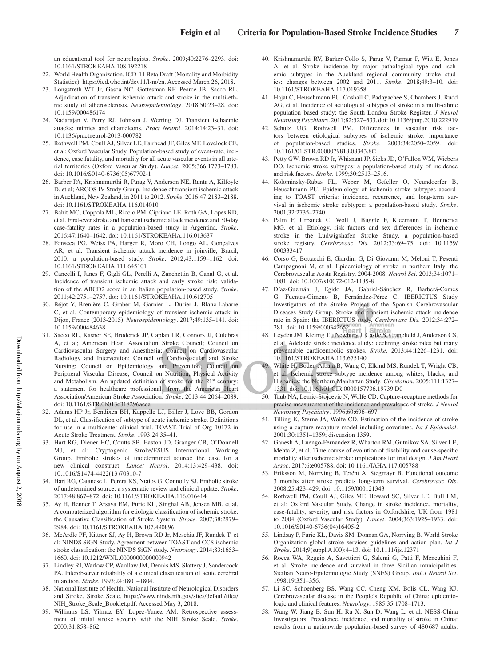an educational tool for neurologists. *Stroke*. 2009;40:2276–2293. doi: 10.1161/STROKEAHA.108.192218

- 22. World Health Organization. ICD-11 Beta Draft (Mortality and Morbidity Statistics). https://icd.who.int/dev11/l-m/en. Accessed March 26, 2018.
- 23. Longstreth WT Jr, Gasca NC, Gottesman RF, Pearce JB, Sacco RL. Adjudication of transient ischemic attack and stroke in the multi-ethnic study of atherosclerosis. *Neuroepidemiology*. 2018;50:23–28. doi: 10.1159/000486174
- 24. Nadarajan V, Perry RJ, Johnson J, Werring DJ. Transient ischaemic attacks: mimics and chameleons. *Pract Neurol*. 2014;14:23–31. doi: 10.1136/practneurol-2013-000782
- 25. Rothwell PM, Coull AJ, Silver LE, Fairhead JF, Giles MF, Lovelock CE, et al; Oxford Vascular Study. Population-based study of event-rate, incidence, case fatality, and mortality for all acute vascular events in all arterial territories (Oxford Vascular Study). *Lancet*. 2005;366:1773–1783. doi: 10.1016/S0140-6736(05)67702-1
- 26. Barber PA, Krishnamurthi R, Parag V, Anderson NE, Ranta A, Kilfoyle D, et al; ARCOS IV Study Group. Incidence of transient ischemic attack in Auckland, New Zealand, in 2011 to 2012. *Stroke*. 2016;47:2183–2188. doi: 10.1161/STROKEAHA.116.014010
- 27. Bahit MC, Coppola ML, Riccio PM, Cipriano LE, Roth GA, Lopes RD, et al. First-ever stroke and transient ischemic attack incidence and 30-day case-fatality rates in a population-based study in Argentina. *Stroke*. 2016;47:1640–1642. doi: 10.1161/STROKEAHA.116.013637
- 28. Fonseca PG, Weiss PA, Harger R, Moro CH, Longo AL, Gonçalves AR, et al. Transient ischemic attack incidence in joinville, Brazil, 2010: a population-based study. *Stroke*. 2012;43:1159–1162. doi: 10.1161/STROKEAHA.111.645101
- 29. Cancelli I, Janes F, Gigli GL, Perelli A, Zanchettin B, Canal G, et al. Incidence of transient ischemic attack and early stroke risk: validation of the ABCD2 score in an Italian population-based study. *Stroke*. 2011;42:2751–2757. doi: 10.1161/STROKEAHA.110.612705
- 30. Béjot Y, Brenière C, Graber M, Garnier L, Durier J, Blanc-Labarre C, et al. Contemporary epidemiology of transient ischemic attack in Dijon, France (2013-2015). *Neuroepidemiology*. 2017;49:135–141. doi: 10.1159/000484638
- 31. Sacco RL, Kasner SE, Broderick JP, Caplan LR, Connors JJ, Culebras A, et al; American Heart Association Stroke Council; Council on Cardiovascular Surgery and Anesthesia; Council on Cardiovascular Radiology and Intervention; Council on Cardiovascular and Stroke Nursing; Council on Epidemiology and Prevention; Council on Peripheral Vascular Disease; Council on Nutrition, Physical Activity and Metabolism. An updated definition of stroke for the 21<sup>st</sup> century: a statement for healthcare professionals from the American Heart Association/American Stroke Association. *Stroke*. 2013;44:2064–2089. doi: 10.1161/STR.0b013e318296aeca
- 32. Adams HP Jr, Bendixen BH, Kappelle LJ, Biller J, Love BB, Gordon DL, et al. Classification of subtype of acute ischemic stroke. Definitions for use in a multicenter clinical trial. TOAST. Trial of Org 10172 in Acute Stroke Treatment. *Stroke*. 1993;24:35–41.
- 33. Hart RG, Diener HC, Coutts SB, Easton JD, Granger CB, O'Donnell MJ, et al; Cryptogenic Stroke/ESUS International Working Group. Embolic strokes of undetermined source: the case for a new clinical construct. *Lancet Neurol*. 2014;13:429–438. doi: 10.1016/S1474-4422(13)70310-7
- 34. Hart RG, Catanese L, Perera KS, Ntaios G, Connolly SJ. Embolic stroke of undetermined source: a systematic review and clinical update. *Stroke*. 2017;48:867–872. doi: 10.1161/STROKEAHA.116.016414
- 35. Ay H, Benner T, Arsava EM, Furie KL, Singhal AB, Jensen MB, et al. A computerized algorithm for etiologic classification of ischemic stroke: the Causative Classification of Stroke System. *Stroke*. 2007;38:2979– 2984. doi: 10.1161/STROKEAHA.107.490896
- 36. McArdle PF, Kittner SJ, Ay H, Brown RD Jr, Meschia JF, Rundek T, et al; NINDS SiGN Study. Agreement between TOAST and CCS ischemic stroke classification: the NINDS SiGN study. *Neurology*. 2014;83:1653– 1660. doi: 10.1212/WNL.0000000000000942
- 37. Lindley RI, Warlow CP, Wardlaw JM, Dennis MS, Slattery J, Sandercock PA. Interobserver reliability of a clinical classification of acute cerebral infarction. *Stroke*. 1993;24:1801–1804.
- 38. National Institute of Health, National Institute of Neurological Disorders and Stroke. Stroke Scale. https://www.ninds.nih.gov/sites/default/files/ NIH\_Stroke\_Scale\_Booklet.pdf. Accessed May 3, 2018.
- 39. Williams LS, Yilmaz EY, Lopez-Yunez AM. Retrospective assessment of initial stroke severity with the NIH Stroke Scale. *Stroke*. 2000;31:858–862.
- 40. Krishnamurthi RV, Barker-Collo S, Parag V, Parmar P, Witt E, Jones A, et al. Stroke incidence by major pathological type and ischemic subtypes in the Auckland regional community stroke studies: changes between 2002 and 2011. *Stroke*. 2018;49:3–10. doi: 10.1161/STROKEAHA.117.019358
- 41. Hajat C, Heuschmann PU, Coshall C, Padayachee S, Chambers J, Rudd AG, et al. Incidence of aetiological subtypes of stroke in a multi-ethnic population based study: the South London Stroke Register. *J Neurol Neurosurg Psychiatry*. 2011;82:527–533. doi: 10.1136/jnnp.2010.222919
- 42. Schulz UG, Rothwell PM. Differences in vascular risk factors between etiological subtypes of ischemic stroke: importance of population-based studies. *Stroke*. 2003;34:2050–2059. doi: 10.1161/01.STR.0000079818.08343.8C
- 43. Petty GW, Brown RD Jr, Whisnant JP, Sicks JD, O'Fallon WM, Wiebers DO. Ischemic stroke subtypes: a population-based study of incidence and risk factors. *Stroke*. 1999;30:2513–2516.
- 44. Kolominsky-Rabas PL, Weber M, Gefeller O, Neundoerfer B, Heuschmann PU. Epidemiology of ischemic stroke subtypes according to TOAST criteria: incidence, recurrence, and long-term survival in ischemic stroke subtypes: a population-based study. *Stroke*. 2001;32:2735–2740.
- 45. Palm F, Urbanek C, Wolf J, Buggle F, Kleemann T, Hennerici MG, et al. Etiology, risk factors and sex differences in ischemic stroke in the Ludwigshafen Stroke Study, a population-based stroke registry. *Cerebrovasc Dis*. 2012;33:69–75. doi: 10.1159/ 000333417
- 46. Corso G, Bottacchi E, Giardini G, Di Giovanni M, Meloni T, Pesenti Campagnoni M, et al. Epidemiology of stroke in northern Italy: the Cerebrovascular Aosta Registry, 2004-2008. *Neurol Sci*. 2013;34:1071– 1081. doi: 10.1007/s10072-012-1185-8
- 47. Díaz-Guzmán J, Egido JA, Gabriel-Sánchez R, Barberá-Comes G, Fuentes-Gimeno B, Fernández-Pérez C; IBERICTUS Study Investigators of the Stroke Project of the Spanish Cerebrovascular Diseases Study Group. Stroke and transient ischemic attack incidence rate in Spain: the IBERICTUS study. *Cerebrovasc Dis*. 2012;34:272– 281. doi: 10.1159/000342652
- 48. Leyden JM, Kleinig TJ, Newbury J, Castle S, Cranefield J, Anderson CS, et al. Adelaide stroke incidence study: declining stroke rates but many preventable cardioembolic strokes. *Stroke*. 2013;44:1226–1231. doi: 10.1161/STROKEAHA.113.675140
- 49. White H, Boden-Albala B, Wang C, Elkind MS, Rundek T, Wright CB, et al. Ischemic stroke subtype incidence among whites, blacks, and Hispanics: the Northern Manhattan Study. *Circulation*. 2005;111:1327– 1331. doi: 10.1161/01.CIR.0000157736.19739.D0
- 50. Taub NA, Lemic-Stojcevic N, Wolfe CD. Capture-recapture methods for precise measurement of the incidence and prevalence of stroke. *J Neurol Neurosurg Psychiatry*. 1996;60:696–697.
- 51. Tilling K, Sterne JA, Wolfe CD. Estimation of the incidence of stroke using a capture-recapture model including covariates. *Int J Epidemiol*. 2001;30:1351–1359; discussion 1359.
- 52. Ganesh A, Luengo-Fernandez R, Wharton RM, Gutnikov SA, Silver LE, Mehta Z, et al. Time course of evolution of disability and cause-specific mortality after ischemic stroke: implications for trial design. *J Am Heart Assoc*. 2017;6:e005788. doi: 10.1161/JAHA.117.005788
- 53. Eriksson M, Norrving B, Terént A, Stegmayr B. Functional outcome 3 months after stroke predicts long-term survival. *Cerebrovasc Dis*. 2008;25:423–429. doi: 10.1159/000121343
- 54. Rothwell PM, Coull AJ, Giles MF, Howard SC, Silver LE, Bull LM, et al; Oxford Vascular Study. Change in stroke incidence, mortality, case-fatality, severity, and risk factors in Oxfordshire, UK from 1981 to 2004 (Oxford Vascular Study). *Lancet*. 2004;363:1925–1933. doi: 10.1016/S0140-6736(04)16405-2
- 55. Lindsay P, Furie KL, Davis SM, Donnan GA, Norrving B. World Stroke Organization global stroke services guidelines and action plan. *Int J Stroke*. 2014;9(suppl A100):4–13. doi: 10.1111/ijs.12371
- 56. Rocca WA, Reggio A, Savettieri G, Salemi G, Patti F, Meneghini F, et al. Stroke incidence and survival in three Sicilian municipalities. Sicilian Neuro-Epidemiologic Study (SNES) Group. *Ital J Neurol Sci*. 1998;19:351–356.
- 57. Li SC, Schoenberg BS, Wang CC, Cheng XM, Bolis CL, Wang KJ. Cerebrovascular disease in the People's Republic of China: epidemiologic and clinical features. *Neurology*. 1985;35:1708–1713.
- 58. Wang W, Jiang B, Sun H, Ru X, Sun D, Wang L, et al; NESS-China Investigators. Prevalence, incidence, and mortality of stroke in China: results from a nationwide population-based survey of 480687 adults.